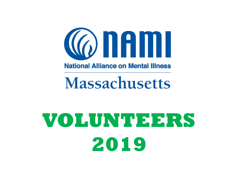

**National Alliance on Mental Illness** 

**Massachusetts** 

# **VOLUNTEERS 2019**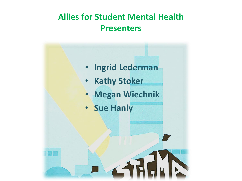#### **Allies for Student Mental Health Presenters**

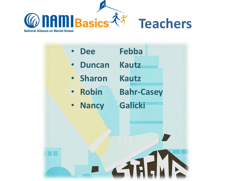

#### **Teachers**

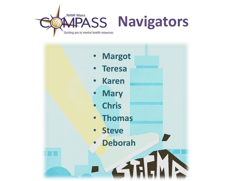

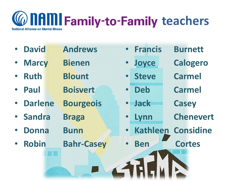

- **David Andrews**
- **Marcy Bienen**
- **Ruth Blount**
- **Paul Boisvert**
- **Darlene Bourgeois**
- **Sandra Braga**
- **Donna Bunn**
- **Robin Bahr-Casey**
- **Francis Burnett**
- 
- 
- 
- **Jack Casey**
- 
- **Joyce Calogero**
- **Steve Carmel**
- **Deb Carmel**
	-
	- **Lynn Chenevert**
- **Kathleen Considine**
- - **Ben Cortes**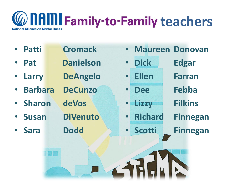

- **Patti Cromack**
- **Pat Danielson**
- **Larry DeAngelo**
- **Barbara DeCunzo**
- **Sharon deVos**
- **Susan DiVenuto**
- **Sara Dodd**
- **Maureen Donovan**
- **Dick Edgar**
- 
- **Dee Febba**
- **Lizzy Filkins**
- 
- **Scotti Finnegan**
- **Ellen Farran**
	-
	-
- **Richard Finnegan**
	-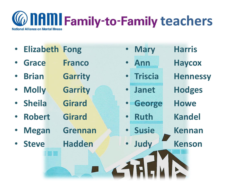#### *Q* **RHMI Family-to-Family teachers National Alliance on Mental Illness**

- **Elizabeth Fong**
- **Grace Franco**
- **Brian Garrity**
- **Molly Garrity**
- **Sheila Girard**
- **Robert Girard**
- **Megan Grennan**
- **Steve Hadden**
- 
- 
- 
- 
- **George Howe**
- 
- 
- 
- **Mary Harris**
- **Ann Haycox**
- **Triscia Hennessy**
- **Janet Hodges**
	-
- **Ruth Kandel**
	- **Susie Kennan**
	- **Judy Kenson**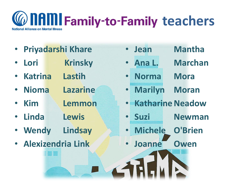#### **CO NAINI Family-to-Family teachers National Alliance on Mental Illness**

- **Priyadarshi Khare**
- **Lori Krinsky**
- **Katrina Lastih**
- **Nioma Lazarine**
- **Kim Lemmon**
- **Linda Lewis**
- **Wendy Lindsay**
- **Alexizendria Link**
- **Jean Mantha**
- 
- **Norma Mora**
- **Ana L. Marchan**
	-
	- **Marilyn Moran**
- **Katharine Neadow** 
	- **Suzi Newman**
- **Michele O'Brien**
- **Joanne Owen**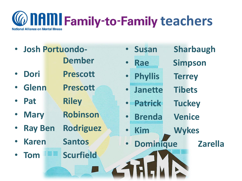#### **CO NAMI Family-to-Family teachers National Alliance on Mental Illness**

- **Josh Portuondo-Dember**
- **Dori Prescott**
- **Glenn Prescott**
- **Pat Riley**
- **Mary Robinson**
- **Ray Ben Rodriguez**
- **Karen Santos**
- **Tom Scurfield**
- **Susan Sharbaugh**
- **Rae Simpson**
- **Phyllis Terrey**
- **Janette Tibets**
- **Patrick Tuckey**
- **Brenda Venice**
- **Kim Wykes**
- **Dominique Zarella**
	-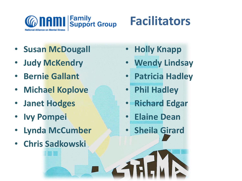



- **Susan McDougall**
- **Judy McKendry**
- **Bernie Gallant**
- **Michael Koplove**
- **Janet Hodges**
- **Ivy Pompei**
- **Lynda McCumber**
- **Chris Sadkowski**
- **Holly Knapp**
- **Wendy Lindsay**
- **Patricia Hadley**
- **Phil Hadley**
- **Richard Edgar**
- **Elaine Dean**
- **Sheila Girard**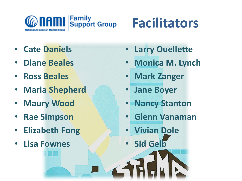



- **Cate Daniels**
- **Diane Beales**
- **Ross Beales**
- **Maria Shepherd**
- **Maury Wood**
- **Rae Simpson**
- **Elizabeth Fong**
- **Lisa Fownes**
- **Larry Ouellette**
- **Monica M. Lynch**
- **Mark Zanger**
- **Jane Boyer**
- **Nancy Stanton**
- **Glenn Vanaman**
- **Vivian Dole**
- **Sid Gelb**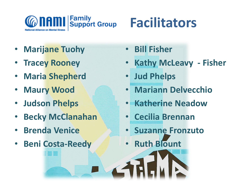

# **Facilitators**

- **Marijane Tuohy**
- **Tracey Rooney**
- **Maria Shepherd**
- **Maury Wood**
- **Judson Phelps**
- **Becky McClanahan**
- **Brenda Venice**
- **Beni Costa-Reedy**
- **Bill Fisher**
- **Kathy McLeavy - Fisher**
- **Jud Phelps**
- **Mariann Delvecchio**
- **Katherine Neadow**
- **Cecilia Brennan**
- **Suzanne Fronzuto**
- **Ruth Blount**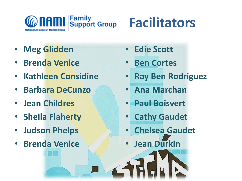



- **Meg Glidden**
- **Brenda Venice**
- **Kathleen Considine**
- **Barbara DeCunzo**
- **Jean Childres**
- **Sheila Flaherty**
- **Judson Phelps**
- **Brenda Venice**
- **Edie Scott**
- **Ben Cortes**
- **Ray Ben Rodriguez**
- **Ana Marchan**
- **Paul Boisvert**
- **Cathy Gaudet**
- **Chelsea Gaudet**
- **Jean Durkin**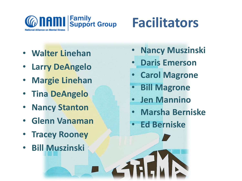

# **Facilitators**

- **Walter Linehan**
- **Larry DeAngelo**
- **Margie Linehan**
- **Tina DeAngelo**
- **Nancy Stanton**
- **Glenn Vanaman**
- **Tracey Rooney**
- **Bill Muszinski**
- **Nancy Muszinski**
- **Daris Emerson**
- **Carol Magrone**
- **Bill Magrone**
- **Jen Mannino**
- **Marsha Berniske**
- **Ed Berniske**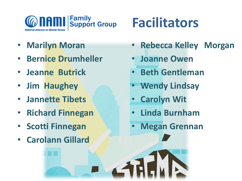

- **Marilyn Moran**
- **Bernice Drumheller**
- **Jeanne Butrick**
- **Jim Haughey**
- **Jannette Tibets**
- **Richard Finnegan**
- **Scotti Finnegan**
- **Carolann Gillard**

# **Facilitators**

- **Rebecca Kelley Morgan**
- **Joanne Owen**
- **Beth Gentleman**
- **Wendy Lindsay**
- **Carolyn Wit**
- **Linda Burnham**
- **Megan Grennan**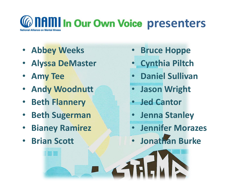

- **Abbey Weeks**
- **Alyssa DeMaster**
- **Amy Tee**
- **Andy Woodnutt**
- **Beth Flannery**
- **Beth Sugerman**
- **Bianey Ramirez**
- **Brian Scott**
- **Bruce Hoppe**
- **Cynthia Piltch**
- **Daniel Sullivan**
- **Jason Wright**
- **Jed Cantor**
- **Jenna Stanley**
- **Jennifer Morazes**
- **Jonathan Burke**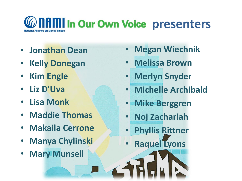# **Confirmation Our Own Voice presenters**

- **Jonathan Dean**
- **Kelly Donegan**
- **Kim Engle**
- **Liz D'Uva**
- **Lisa Monk**
- **Maddie Thomas**
- **Makaila Cerrone**
- **Manya Chylinski**
- **Mary Munsell**
- **Megan Wiechnik**
- **Melissa Brown**
- **Merlyn Snyder**
- **Michelle Archibald**
- **Mike Berggren**
- **Noj Zachariah**
- **Phyllis Rittner**
- **Raquel Lyons**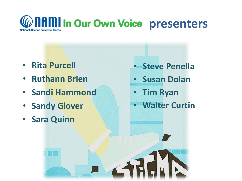

- **Rita Purcell**
- **Ruthann Brien**
- **Sandi Hammond**
- **Sandy Glover**
- **Sara Quinn**
- **Steve Penella**
- **Susan Dolan**
- **Tim Ryan**
- **Walter Curtin**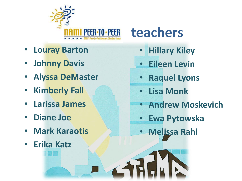

# **teachers**

- **Louray Barton**
- **Johnny Davis**
- **Alyssa DeMaster**
- **Kimberly Fall**
- **Larissa James**
- **Diane Joe**
- **Mark Karaotis**
- **Erika Katz**
- **Hillary Kiley**
- **Eileen Levin**
- **Raquel Lyons**
- **Lisa Monk**
- **Andrew Moskevich**
- **Ewa Pytowska**
- **Melissa Rahi**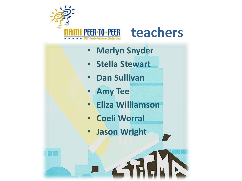

### **teachers**

- **Merlyn Snyder**
- **Stella Stewart**
- **Dan Sullivan**
- **Amy Tee**
- **Eliza Williamson**
- **Coeli Worral**
- **Jason Wright**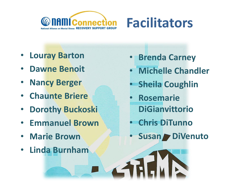



- **Louray Barton**
- **Dawne Benoit**
- **Nancy Berger**
- **Chaunte Briere**
- **Dorothy Buckoski**
- **Emmanuel Brown**
- **Marie Brown**
- **Linda Burnham**
- **Brenda Carney**
- **Michelle Chandler**
- **Sheila Coughlin**
- **Rosemarie DiGianvittorio**
- **Chris DiTunno**
- **Susan DiVenuto**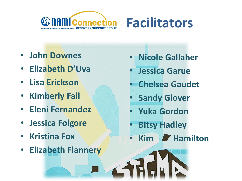



- **John Downes**
- **Elizabeth D'Uva**
- **Lisa Erickson**
- **Kimberly Fall**
- **Eleni Fernandez**
- **Jessica Folgore**
- **Kristina Fox**
- **Elizabeth Flannery**
- **Nicole Gallaher**
- **Jessica Garue**
- **Chelsea Gaudet**
- **Sandy Glover**
- **Yuka Gordon**
- **Bitsy Hadley**
- **Kim F** Hamilton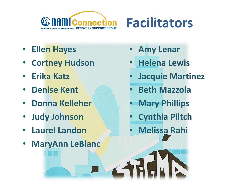



- **Ellen Hayes**
- **Cortney Hudson**
- **Erika Katz**
- **Denise Kent**
- **Donna Kelleher**
- **Judy Johnson**
- **Laurel Landon**
- **MaryAnn LeBlanc**
- **Amy Lenar**
- **Helena Lewis**
- **Jacquie Martinez**
- **Beth Mazzola**
- **Mary Phillips**
- **Cynthia Piltch**
- **Melissa Rahi**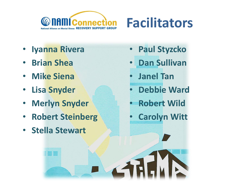



- **Iyanna Rivera**
- **Brian Shea**
- **Mike Siena**
- **Lisa Snyder**
- **Merlyn Snyder**
- **Robert Steinberg**
- **Stella Stewart**
- **Paul Styzcko**
- **Dan Sullivan**
- **Janel Tan**
- **Debbie Ward**
- **Robert Wild**
- **Carolyn Witt**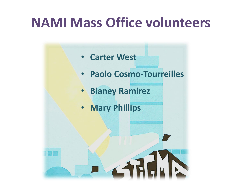## **NAMI Mass Office volunteers**

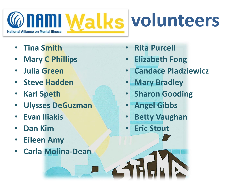#### **Walks volunteers** a nam **National Alliance on Mental Illness**

- **Tina Smith**
- **Mary C Phillips**
- **Julia Green**
- **Steve Hadden**
- **Karl Speth**
- **Ulysses DeGuzman**
- **Evan Iliakis**
- **Dan Kim**
- **Eileen Amy**
- **Carla Molina-Dean**
- **Rita Purcell**
- **Elizabeth Fong**
- **Candace Pladziewicz**
- **Mary Bradley**
- **Sharon Gooding**
- **Angel Gibbs**
- **Betty Vaughan**
- **Eric Stout**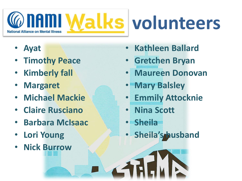#### a nam National Alliance on Mental Illness

# **Walks volunteers**

- **Ayat**
- **Timothy Peace**
- **Kimberly fall**
- **Margaret**
- **Michael Mackie**
- **Claire Rusciano**
- **Barbara McIsaac**
- **Lori Young**
- **Nick Burrow**
- **Kathleen Ballard**
- **Gretchen Bryan**
- **Maureen Donovan**
- **Mary Balsley**
- **Emmily Attocknie**
- **Nina Scott**
- **Sheila**
- **Sheila's husband**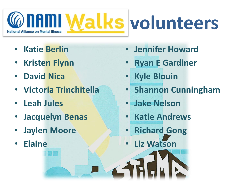### **Valks volunteers National Alliance on Mental Illness**

- **Katie Berlin**
- **Kristen Flynn**
- **David Nica**
- **Victoria Trinchitella**
- **Leah Jules**
- **Jacquelyn Benas**
- **Jaylen Moore**
- **Elaine**
- **Jennifer Howard**
- **Ryan E Gardiner**
- **Kyle Blouin**
- **Shannon Cunningham**
- **Jake Nelson**
- **Katie Andrews**
- **Richard Gong**
- **Liz Watson**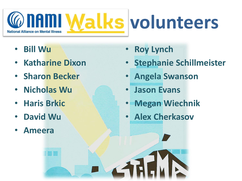#### **volunteers National Alliance on Mental Illness**

- **Bill Wu**
- **Katharine Dixon**
- **Sharon Becker**
- **Nicholas Wu**
- **Haris Brkic**
- **David Wu**
- **Ameera**
- **Roy Lynch**
- **Stephanie Schillmeister**
- **Angela Swanson**
- **Jason Evans**
- **Megan Wiechnik**
- **Alex Cherkasov**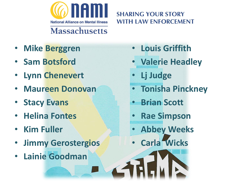

#### **SHARING YOUR STORY WITH LAW ENFORCEMENT**

- **Mike Berggren**
- **Sam Botsford**
- **Lynn Chenevert**
- **Maureen Donovan**
- **Stacy Evans**
- **Helina Fontes**
- **Kim Fuller**
- **Jimmy Gerostergios**
- **Lainie Goodman**
- **Louis Griffith**
- **Valerie Headley**
- **Lj Judge**
- **Tonisha Pinckney**
- **Brian Scott**
- **Rae Simpson**
- **Abbey Weeks**
- **Carla Wicks**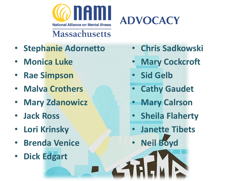

#### **Massachusetts**

- **Stephanie Adornetto**
- **Monica Luke**
- **Rae Simpson**
- **Malva Crothers**
- **Mary Zdanowicz**
- **Jack Ross**
- **Lori Krinsky**
- **Brenda Venice**
- **Dick Edgart**
- **Chris Sadkowski**
- **Mary Cockcroft**
- **Sid Gelb**

**ADVOCACY** 

- **Cathy Gaudet**
- **Mary Calrson**
- **Sheila Flaherty**
- **Janette Tibets**
- **Neil Boyd**